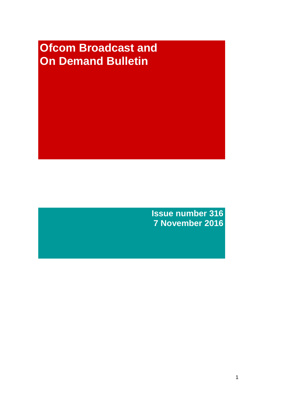# **Ofcom Broadcast and On Demand Bulletin**

**Issue number 316 7 November 2016**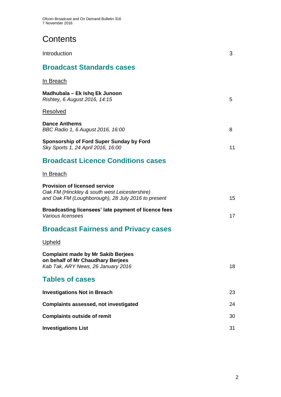# **Contents**

| Introduction                                                                                                                                | 3  |
|---------------------------------------------------------------------------------------------------------------------------------------------|----|
| <b>Broadcast Standards cases</b>                                                                                                            |    |
| <u>In Breach</u>                                                                                                                            |    |
| Madhubala – Ek Ishq Ek Junoon<br>Rishtey, 6 August 2016, 14:15                                                                              | 5  |
| <b>Resolved</b>                                                                                                                             |    |
| <b>Dance Anthems</b><br>BBC Radio 1, 6 August 2016, 16:00                                                                                   | 8  |
| Sponsorship of Ford Super Sunday by Ford<br>Sky Sports 1, 24 April 2016, 16:00                                                              | 11 |
| <b>Broadcast Licence Conditions cases</b>                                                                                                   |    |
| In Breach                                                                                                                                   |    |
| <b>Provision of licensed service</b><br>Oak FM (Hinckley & south west Leicestershire)<br>and Oak FM (Loughborough), 28 July 2016 to present | 15 |
| Broadcasting licensees' late payment of licence fees<br>Various licensees                                                                   | 17 |
| <b>Broadcast Fairness and Privacy cases</b>                                                                                                 |    |
| Upheld                                                                                                                                      |    |
| <b>Complaint made by Mr Sakib Berjees</b><br>on behalf of Mr Chaudhary Beriees<br>Kab Tak, ARY News, 26 January 2016                        | 18 |
| <b>Tables of cases</b>                                                                                                                      |    |
| <b>Investigations Not in Breach</b>                                                                                                         | 23 |
| <b>Complaints assessed, not investigated</b>                                                                                                | 24 |
| <b>Complaints outside of remit</b>                                                                                                          | 30 |
| <b>Investigations List</b>                                                                                                                  | 31 |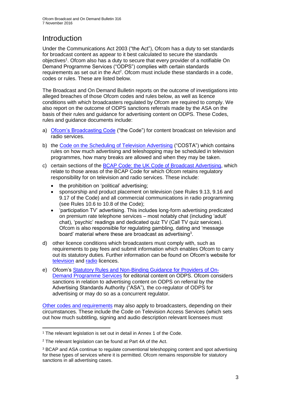# **Introduction**

Under the Communications Act 2003 ("the Act"), Ofcom has a duty to set standards for broadcast content as appear to it best calculated to secure the standards objectives<sup>1</sup>. Ofcom also has a duty to secure that every provider of a notifiable On Demand Programme Services ("ODPS") complies with certain standards requirements as set out in the Act<sup>2</sup>. Ofcom must include these standards in a code, codes or rules. These are listed below.

The Broadcast and On Demand Bulletin reports on the outcome of investigations into alleged breaches of those Ofcom codes and rules below, as well as licence conditions with which broadcasters regulated by Ofcom are required to comply. We also report on the outcome of ODPS sanctions referrals made by the ASA on the basis of their rules and guidance for advertising content on ODPS. These Codes, rules and guidance documents include:

- a) [Ofcom's Broadcasting Code](http://stakeholders.ofcom.org.uk/broadcasting/broadcast-codes/broadcast-code/) ("the Code") for content broadcast on television and radio services.
- b) the [Code on the Scheduling of Television Advertising](https://www.ofcom.org.uk/__data/assets/pdf_file/0014/32162/costa-april-2016.pdf) ("COSTA") which contains rules on how much advertising and teleshopping may be scheduled in television programmes, how many breaks are allowed and when they may be taken.
- c) certain sections of the [BCAP Code: the UK Code of Broadcast Advertising,](https://www.cap.org.uk/Advertising-Codes/Broadcast.aspx) which relate to those areas of the BCAP Code for which Ofcom retains regulatory responsibility for on television and radio services. These include:
	- the prohibition on 'political' advertising;
	- sponsorship and product placement on television (see Rules 9.13, 9.16 and 9.17 of the Code) and all commercial communications in radio programming (see Rules 10.6 to 10.8 of the Code);
	- 'participation TV' advertising. This includes long-form advertising predicated on premium rate telephone services – most notably chat (including 'adult' chat), 'psychic' readings and dedicated quiz TV (Call TV quiz services). Ofcom is also responsible for regulating gambling, dating and 'message board' material where these are broadcast as advertising<sup>3</sup>.
- d) other licence conditions which broadcasters must comply with, such as requirements to pay fees and submit information which enables Ofcom to carry out its statutory duties. Further information can be found on Ofcom's website for [television](http://licensing.ofcom.org.uk/tv-broadcast-licences/) and [radio](http://licensing.ofcom.org.uk/radio-broadcast-licensing/) licences.
- e) Ofcom's [Statutory Rules and Non-Binding Guidance for Providers of On-](http://stakeholders.ofcom.org.uk/binaries/broadcast/on-demand/rules-guidance/rules_and_guidance.pdf)[Demand Programme Services](http://stakeholders.ofcom.org.uk/binaries/broadcast/on-demand/rules-guidance/rules_and_guidance.pdf) for editorial content on ODPS. Ofcom considers sanctions in relation to advertising content on ODPS on referral by the Advertising Standards Authority ("ASA"), the co-regulator of ODPS for advertising or may do so as a concurrent regulator.

[Other codes and requirements](http://stakeholders.ofcom.org.uk/broadcasting/broadcast-codes/) may also apply to broadcasters, depending on their circumstances. These include the Code on Television Access Services (which sets out how much subtitling, signing and audio description relevant licensees must

<sup>1</sup> <sup>1</sup> The relevant legislation is set out in detail in Annex 1 of the Code.

<sup>&</sup>lt;sup>2</sup> The relevant legislation can be found at Part 4A of the Act.

<sup>3</sup> BCAP and ASA continue to regulate conventional teleshopping content and spot advertising for these types of services where it is permitted. Ofcom remains responsible for statutory sanctions in all advertising cases.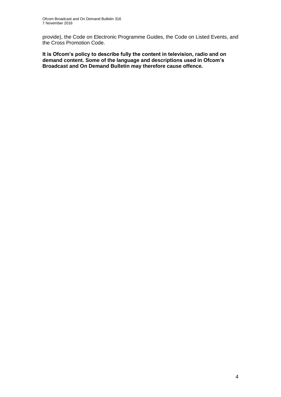provide), the Code on Electronic Programme Guides, the Code on Listed Events, and the Cross Promotion Code.

**It is Ofcom's policy to describe fully the content in television, radio and on demand content. Some of the language and descriptions used in Ofcom's Broadcast and On Demand Bulletin may therefore cause offence.**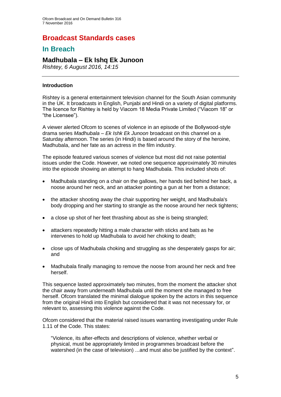### **Broadcast Standards cases**

### **In Breach**

### **Madhubala – Ek Ishq Ek Junoon**

*Rishtey, 6 August 2016, 14:15*

#### **Introduction**

Rishtey is a general entertainment television channel for the South Asian community in the UK. It broadcasts in English, Punjabi and Hindi on a variety of digital platforms. The licence for Rishtey is held by Viacom 18 Media Private Limited ("Viacom 18" or "the Licensee").

A viewer alerted Ofcom to scenes of violence in an episode of the Bollywood-style drama series *Madhubala – Ek Ishk Ek Junoon* broadcast on this channel on a Saturday afternoon. The series (in Hindi) is based around the story of the heroine, Madhubala, and her fate as an actress in the film industry.

The episode featured various scenes of violence but most did not raise potential issues under the Code. However, we noted one sequence approximately 30 minutes into the episode showing an attempt to hang Madhubala. This included shots of:

- Madhubala standing on a chair on the gallows, her hands tied behind her back, a noose around her neck, and an attacker pointing a gun at her from a distance;
- the attacker shooting away the chair supporting her weight, and Madhubala's body dropping and her starting to strangle as the noose around her neck tightens;
- a close up shot of her feet thrashing about as she is being strangled;
- attackers repeatedly hitting a male character with sticks and bats as he intervenes to hold up Madhubala to avoid her choking to death;
- close ups of Madhubala choking and struggling as she desperately gasps for air; and
- Madhubala finally managing to remove the noose from around her neck and free herself.

This sequence lasted approximately two minutes, from the moment the attacker shot the chair away from underneath Madhubala until the moment she managed to free herself. Ofcom translated the minimal dialogue spoken by the actors in this sequence from the original Hindi into English but considered that it was not necessary for, or relevant to, assessing this violence against the Code.

Ofcom considered that the material raised issues warranting investigating under Rule 1.11 of the Code. This states:

"Violence, its after-effects and descriptions of violence, whether verbal or physical, must be appropriately limited in programmes broadcast before the watershed (in the case of television) ...and must also be justified by the context".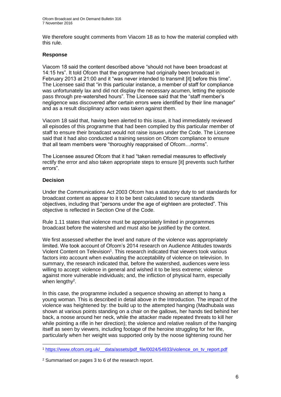We therefore sought comments from Viacom 18 as to how the material complied with this rule.

#### **Response**

Viacom 18 said the content described above "should not have been broadcast at 14:15 hrs". It told Ofcom that the programme had originally been broadcast in February 2013 at 21:00 and it "was never intended to transmit [it] before this time". The Licensee said that "in this particular instance, a member of staff for compliance was unfortunately lax and did not display the necessary acumen, letting the episode pass through pre-watershed hours". The Licensee said that the "staff member's negligence was discovered after certain errors were identified by their line manager" and as a result disciplinary action was taken against them.

Viacom 18 said that, having been alerted to this issue, it had immediately reviewed all episodes of this programme that had been complied by this particular member of staff to ensure their broadcast would not raise issues under the Code. The Licensee said that it had also conducted a training session on Ofcom compliance to ensure that all team members were "thoroughly reappraised of Ofcom…norms".

The Licensee assured Ofcom that it had "taken remedial measures to effectively rectify the error and also taken appropriate steps to ensure [it] prevents such further errors".

#### **Decision**

Under the Communications Act 2003 Ofcom has a statutory duty to set standards for broadcast content as appear to it to be best calculated to secure standards objectives, including that "persons under the age of eighteen are protected". This objective is reflected in Section One of the Code.

Rule 1.11 states that violence must be appropriately limited in programmes broadcast before the watershed and must also be justified by the context.

We first assessed whether the level and nature of the violence was appropriately limited. We took account of Ofcom's 2014 research on Audience Attitudes towards Violent Content on Television<sup>1</sup>. This research indicated that viewers took various factors into account when evaluating the acceptability of violence on television. In summary, the research indicated that, before the watershed, audiences were less willing to accept: violence in general and wished it to be less extreme; violence against more vulnerable individuals; and, the infliction of physical harm, especially when lengthy<sup>2</sup>.

In this case, the programme included a sequence showing an attempt to hang a young woman. This is described in detail above in the Introduction. The impact of the violence was heightened by: the build up to the attempted hanging (Madhubala was shown at various points standing on a chair on the gallows, her hands tied behind her back, a noose around her neck, while the attacker made repeated threats to kill her while pointing a rifle in her direction); the violence and relative realism of the hanging itself as seen by viewers, including footage of the heroine struggling for her life, particularly when her weight was supported only by the noose tightening round her

<sup>1</sup> <sup>1</sup> [https://www.ofcom.org.uk/\\_\\_data/assets/pdf\\_file/0024/54933/violence\\_on\\_tv\\_report.pdf](https://www.ofcom.org.uk/__data/assets/pdf_file/0024/54933/violence_on_tv_report.pdf)

<sup>2</sup> Summarised on pages 3 to 6 of the research report.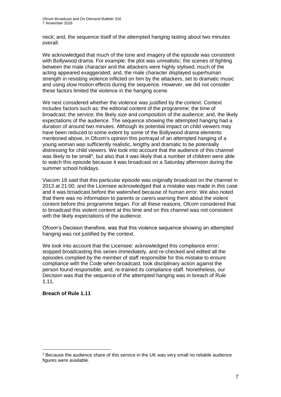neck; and, the sequence itself of the attempted hanging lasting about two minutes overall.

We acknowledged that much of the tone and imagery of the episode was consistent with Bollywood drama. For example: the plot was unrealistic; the scenes of fighting between the male character and the attackers were highly stylised; much of the acting appeared exaggerated; and, the male character displayed superhuman strength in resisting violence inflicted on him by the attackers, set to dramatic music and using slow motion effects during the sequence. However, we did not consider these factors limited the violence in the hanging scene.

We next considered whether the violence was justified by the context. Context includes factors such as: the editorial content of the programme; the time of broadcast; the service; the likely size and composition of the audience; and, the likely expectations of the audience. The sequence showing the attempted hanging had a duration of around two minutes. Although its potential impact on child viewers may have been reduced to some extent by some of the Bollywood drama elements mentioned above, in Ofcom's opinion this portrayal of an attempted hanging of a young woman was sufficiently realistic, lengthy and dramatic to be potentially distressing for child viewers. We took into account that the audience of this channel was likely to be small<sup>3</sup>, but also that it was likely that a number of children were able to watch this episode because it was broadcast on a Saturday afternoon during the summer school holidays.

Viacom 18 said that this particular episode was originally broadcast on the channel in 2013 at 21:00, and the Licensee acknowledged that a mistake was made in this case and it was broadcast before the watershed because of human error. We also noted that there was no information to parents or carers warning them about the violent content before this programme began. For all these reasons, Ofcom considered that to broadcast this violent content at this time and on this channel was not consistent with the likely expectations of the audience.

Ofcom's Decision therefore, was that this violence sequence showing an attempted hanging was not justified by the context.

We took into account that the Licensee: acknowledged this compliance error; stopped broadcasting this series immediately, and re-checked and edited all the episodes complied by the member of staff responsible for this mistake to ensure compliance with the Code when broadcast; took disciplinary action against the person found responsible; and, re-trained its compliance staff. Nonetheless, our Decision was that the sequence of the attempted hanging was in breach of Rule 1.11.

#### **Breach of Rule 1.11**

1

<sup>3</sup> Because the audience share of this service in the UK was very small no reliable audience figures were available.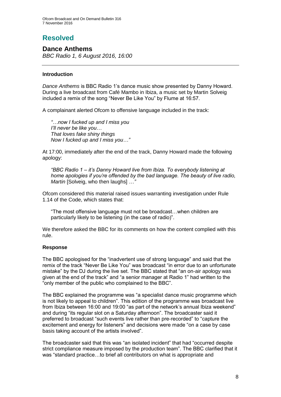# **Resolved**

### **Dance Anthems**

*BBC Radio 1, 6 August 2016, 16:00*

#### **Introduction**

*Dance Anthems* is BBC Radio 1's dance music show presented by Danny Howard. During a live broadcast from Café Mambo in Ibiza, a music set by Martin Solveig included a remix of the song "Never Be Like You" by Flume at 16:57.

A complainant alerted Ofcom to offensive language included in the track:

*"…now I fucked up and I miss you I'll never be like you… That loves fake shiny things Now I fucked up and I miss you…"*

At 17:00, immediately after the end of the track, Danny Howard made the following apology:

*"BBC Radio 1 – it's Danny Howard live from Ibiza. To everybody listening at home apologies if you're offended by the bad language. The beauty of live radio, Martin* [Solveig, who then laughs] *…"*

Ofcom considered this material raised issues warranting investigation under Rule 1.14 of the Code, which states that:

"The most offensive language must not be broadcast…when children are particularly likely to be listening (in the case of radio)".

We therefore asked the BBC for its comments on how the content complied with this rule.

#### **Response**

The BBC apologised for the "inadvertent use of strong language" and said that the remix of the track "Never Be Like You" was broadcast "in error due to an unfortunate mistake" by the DJ during the live set. The BBC stated that "an on-air apology was given at the end of the track" and "a senior manager at Radio 1" had written to the "only member of the public who complained to the BBC".

The BBC explained the programme was "a specialist dance music programme which is not likely to appeal to children". This edition of the programme was broadcast live from Ibiza between 16:00 and 19:00 "as part of the network's annual Ibiza weekend" and during "its regular slot on a Saturday afternoon". The broadcaster said it preferred to broadcast "such events live rather than pre-recorded" to "capture the excitement and energy for listeners" and decisions were made "on a case by case basis taking account of the artists involved".

The broadcaster said that this was "an isolated incident" that had "occurred despite strict compliance measure imposed by the production team". The BBC clarified that it was "standard practice…to brief all contributors on what is appropriate and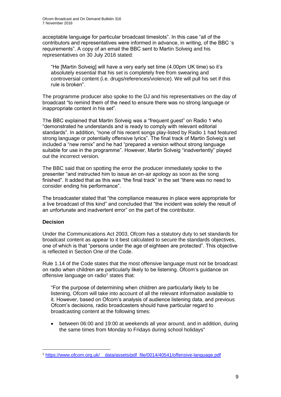acceptable language for particular broadcast timeslots". In this case "all of the contributors and representatives were informed in advance, in writing, of the BBC 's requirements". A copy of an email the BBC sent to Martin Solveig and his representatives on 30 July 2016 stated:

"He [Martin Solveig] will have a very early set time (4.00pm UK time) so it's absolutely essential that his set is completely free from swearing and controversial content (i.e. drugs/references/violence). We will pull his set if this rule is broken".

The programme producer also spoke to the DJ and his representatives on the day of broadcast "to remind them of the need to ensure there was no strong language or inappropriate content in his set".

The BBC explained that Martin Solveig was a "frequent guest" on Radio 1 who "demonstrated he understands and is ready to comply with relevant editorial standards". In addition, "none of his recent songs play-listed by Radio 1 had featured strong language or potentially offensive lyrics". The final track of Martin Solveig's set included a "new remix" and he had "prepared a version without strong language suitable for use in the programme". However, Martin Solveig "inadvertently" played out the incorrect version.

The BBC said that on spotting the error the producer immediately spoke to the presenter "and instructed him to issue an on-air apology as soon as the song finished". It added that as this was "the final track" in the set "there was no need to consider ending his performance".

The broadcaster stated that "the compliance measures in place were appropriate for a live broadcast of this kind" and concluded that "the incident was solely the result of an unfortunate and inadvertent error" on the part of the contributor.

#### **Decision**

1

Under the Communications Act 2003, Ofcom has a statutory duty to set standards for broadcast content as appear to it best calculated to secure the standards objectives, one of which is that "persons under the age of eighteen are protected". This objective is reflected in Section One of the Code.

Rule 1.14 of the Code states that the most offensive language must not be broadcast on radio when children are particularly likely to be listening. Ofcom's guidance on offensive language on radio<sup>1</sup> states that:

"For the purpose of determining when children are particularly likely to be listening, Ofcom will take into account of all the relevant information available to it. However, based on Ofcom's analysis of audience listening data, and previous Ofcom's decisions, radio broadcasters should have particular regard to broadcasting content at the following times:

 between 06:00 and 19:00 at weekends all year around, and in addition, during the same times from Monday to Fridays during school holidays"

<sup>1</sup> [https://www.ofcom.org.uk/\\_\\_data/assets/pdf\\_file/0014/40541/offensive-language.pdf](https://www.ofcom.org.uk/__data/assets/pdf_file/0014/40541/offensive-language.pdf)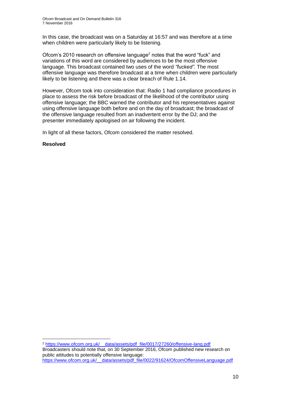In this case, the broadcast was on a Saturday at 16:57 and was therefore at a time when children were particularly likely to be listening.

Ofcom's 2010 research on offensive language<sup>2</sup> notes that the word "fuck" and variations of this word are considered by audiences to be the most offensive language. This broadcast contained two uses of the word *"fucked"*. The most offensive language was therefore broadcast at a time when children were particularly likely to be listening and there was a clear breach of Rule 1.14.

However, Ofcom took into consideration that: Radio 1 had compliance procedures in place to assess the risk before broadcast of the likelihood of the contributor using offensive language; the BBC warned the contributor and his representatives against using offensive language both before and on the day of broadcast; the broadcast of the offensive language resulted from an inadvertent error by the DJ; and the presenter immediately apologised on air following the incident.

In light of all these factors, Ofcom considered the matter resolved.

#### **Resolved**

1

<sup>2</sup> [https://www.ofcom.org.uk/\\_\\_data/assets/pdf\\_file/0017/27260/offensive-lang.pdf](https://www.ofcom.org.uk/__data/assets/pdf_file/0017/27260/offensive-lang.pdf) Broadcasters should note that, on 30 September 2016, Ofcom published new research on public attitudes to potentially offensive language: [https://www.ofcom.org.uk/\\_\\_data/assets/pdf\\_file/0022/91624/OfcomOffensiveLanguage.pdf](https://www.ofcom.org.uk/__data/assets/pdf_file/0022/91624/OfcomOffensiveLanguage.pdf)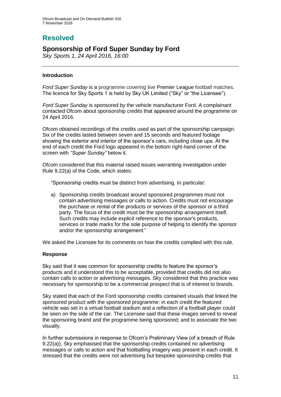# **Resolved**

### **Sponsorship of Ford Super Sunday by Ford**

*Sky Sports 1, 24 April 2016, 16:00*

#### **Introduction**

*Ford Super Sunday* is a programme covering live Premier League football matches. The licence for Sky Sports 1 is held by Sky UK Limited ("Sky" or "the Licensee").

*Ford Super Sunday* is sponsored by the vehicle manufacturer Ford. A complainant contacted Ofcom about sponsorship credits that appeared around the programme on 24 April 2016.

Ofcom obtained recordings of the credits used as part of the sponsorship campaign. Six of the credits lasted between seven and 15 seconds and featured footage showing the exterior and interior of the sponsor's cars, including close ups. At the end of each credit the Ford logo appeared in the bottom right-hand corner of the screen with *"Super Sunday"* below it.

Ofcom considered that this material raised issues warranting investigation under Rule 9.22(a) of the Code, which states:

"Sponsorship credits must be distinct from advertising. In particular:

a) Sponsorship credits broadcast around sponsored programmes must not contain advertising messages or calls to action. Credits must not encourage the purchase or rental of the products or services of the sponsor or a third party. The focus of the credit must be the sponsorship arrangement itself. Such credits may include explicit reference to the sponsor's products, services or trade marks for the sole purpose of helping to identify the sponsor and/or the sponsorship arrangement."

We asked the Licensee for its comments on how the credits complied with this rule.

#### **Response**

Sky said that it was common for sponsorship credits to feature the sponsor's products and it understood this to be acceptable, provided that credits did not also contain calls to action or advertising messages. Sky considered that this practice was necessary for sponsorship to be a commercial prospect that is of interest to brands.

Sky stated that each of the Ford sponsorship credits contained visuals that linked the sponsored product with the sponsored programme: in each credit the featured vehicle was set in a virtual football stadium and a reflection of a football player could be seen on the side of the car. The Licensee said that these images served to reveal the sponsoring brand and the programme being sponsored; and to associate the two visually.

In further submissions in response to Ofcom's Preliminary View (of a breach of Rule 9.22(a)), Sky emphasised that the sponsorship credits contained no advertising messages or calls to action and that footballing imagery was present in each credit. It stressed that the credits were not advertising but bespoke sponsorship credits that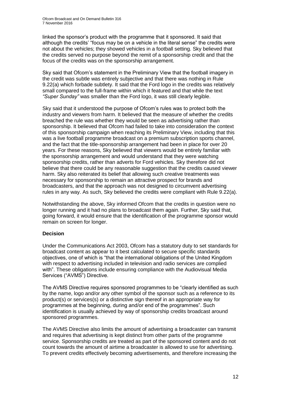linked the sponsor's product with the programme that it sponsored. It said that although the credits' "focus may be on a vehicle in the literal sense" the credits were not about the vehicles; they showed vehicles in a football setting. Sky believed that the credits served no purpose beyond the remit of a sponsorship credit and that the focus of the credits was on the sponsorship arrangement.

Sky said that Ofcom's statement in the Preliminary View that the football imagery in the credit was subtle was entirely subjective and that there was nothing in Rule 9.22(a) which forbade subtlety. It said that the Ford logo in the credits was relatively small compared to the full-frame within which it featured and that while the text *"Super Sunday"* was smaller than the Ford logo, it was still clearly legible.

Sky said that it understood the purpose of Ofcom's rules was to protect both the industry and viewers from harm. It believed that the measure of whether the credits breached the rule was whether they would be seen as advertising rather than sponsorship. It believed that Ofcom had failed to take into consideration the context of this sponsorship campaign when reaching its Preliminary View, including that this was a live football programme broadcast on a premium subscription sports channel, and the fact that the title-sponsorship arrangement had been in place for over 20 years. For these reasons, Sky believed that viewers would be entirely familiar with the sponsorship arrangement and would understand that they were watching sponsorship credits, rather than adverts for Ford vehicles. Sky therefore did not believe that there could be any reasonable suggestion that the credits caused viewer harm. Sky also reiterated its belief that allowing such creative treatments was necessary for sponsorship to remain an attractive prospect for brands and broadcasters, and that the approach was not designed to circumvent advertising rules in any way. As such, Sky believed the credits were compliant with Rule 9.22(a).

Notwithstanding the above, Sky informed Ofcom that the credits in question were no longer running and it had no plans to broadcast them again. Further, Sky said that, going forward, it would ensure that the identification of the programme sponsor would remain on screen for longer.

#### **Decision**

Under the Communications Act 2003, Ofcom has a statutory duty to set standards for broadcast content as appear to it best calculated to secure specific standards objectives, one of which is "that the international obligations of the United Kingdom with respect to advertising included in television and radio services are complied with". These obligations include ensuring compliance with the Audiovisual Media Services ("AVMS") Directive.

The AVMS Directive requires sponsored programmes to be "clearly identified as such by the name, logo and/or any other symbol of the sponsor such as a reference to its product(s) or services(s) or a distinctive sign thereof in an appropriate way for programmes at the beginning, during and/or end of the programmes". Such identification is usually achieved by way of sponsorship credits broadcast around sponsored programmes.

The AVMS Directive also limits the amount of advertising a broadcaster can transmit and requires that advertising is kept distinct from other parts of the programme service. Sponsorship credits are treated as part of the sponsored content and do not count towards the amount of airtime a broadcaster is allowed to use for advertising. To prevent credits effectively becoming advertisements, and therefore increasing the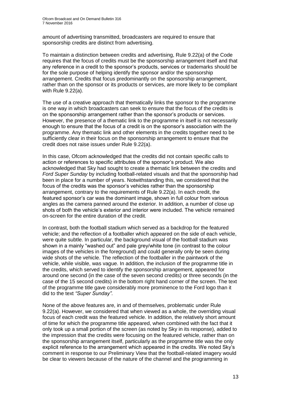amount of advertising transmitted, broadcasters are required to ensure that sponsorship credits are distinct from advertising.

To maintain a distinction between credits and advertising, Rule 9.22(a) of the Code requires that the focus of credits must be the sponsorship arrangement itself and that any reference in a credit to the sponsor's products, services or trademarks should be for the sole purpose of helping identify the sponsor and/or the sponsorship arrangement. Credits that focus predominantly on the sponsorship arrangement, rather than on the sponsor or its products or services, are more likely to be compliant with Rule 9.22(a).

The use of a creative approach that thematically links the sponsor to the programme is one way in which broadcasters can seek to ensure that the focus of the credits is on the sponsorship arrangement rather than the sponsor's products or services. However, the presence of a thematic link to the programme in itself is not necessarily enough to ensure that the focus of a credit is on the sponsor's association with the programme. Any thematic link and other elements in the credits together need to be sufficiently clear in their focus on the sponsorship arrangement to ensure that the credit does not raise issues under Rule 9.22(a).

In this case, Ofcom acknowledged that the credits did not contain specific calls to action or references to specific attributes of the sponsor's product. We also acknowledged that Sky had sought to create a thematic link between the credits and *Ford Super Sunday* by including football-related visuals and that the sponsorship had been in place for a number of years. Notwithstanding this, we considered that the focus of the credits was the sponsor's vehicles rather than the sponsorship arrangement, contrary to the requirements of Rule 9.22(a). In each credit, the featured sponsor's car was the dominant image, shown in full colour from various angles as the camera panned around the exterior. In addition, a number of close up shots of both the vehicle's exterior and interior were included. The vehicle remained on-screen for the entire duration of the credit.

In contrast, both the football stadium which served as a backdrop for the featured vehicle; and the reflection of a footballer which appeared on the side of each vehicle, were quite subtle. In particular, the background visual of the football stadium was shown in a mainly "washed out" and pale grey/white tone (in contrast to the colour images of the vehicles in the foreground) and could generally only be seen during wide shots of the vehicle. The reflection of the footballer in the paintwork of the vehicle, while visible, was vague. In addition, the inclusion of the programme title in the credits, which served to identify the sponsorship arrangement, appeared for around one second (in the case of the seven second credits) or three seconds (in the case of the 15 second credits) in the bottom right hand corner of the screen. The text of the programme title gave considerably more prominence to the Ford logo than it did to the text *"Super Sunday"*.

None of the above features are, in and of themselves, problematic under Rule 9.22(a). However, we considered that when viewed as a whole, the overriding visual focus of each credit was the featured vehicle. In addition, the relatively short amount of time for which the programme title appeared, when combined with the fact that it only took up a small portion of the screen (as noted by Sky in its response), added to the impression that the credits were focusing on the featured vehicle, rather than on the sponsorship arrangement itself, particularly as the programme title was the only explicit reference to the arrangement which appeared in the credits. We noted Sky's comment in response to our Preliminary View that the football-related imagery would be clear to viewers because of the nature of the channel and the programming in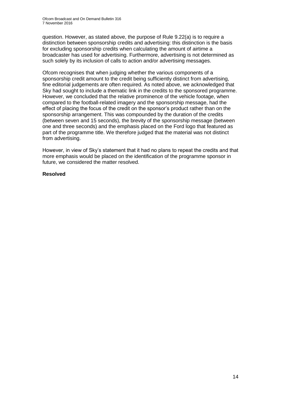question. However, as stated above, the purpose of Rule 9.22(a) is to require a distinction between sponsorship credits and advertising: this distinction is the basis for excluding sponsorship credits when calculating the amount of airtime a broadcaster has used for advertising. Furthermore, advertising is not determined as such solely by its inclusion of calls to action and/or advertising messages.

Ofcom recognises that when judging whether the various components of a sponsorship credit amount to the credit being sufficiently distinct from advertising, fine editorial judgements are often required. As noted above, we acknowledged that Sky had sought to include a thematic link in the credits to the sponsored programme. However, we concluded that the relative prominence of the vehicle footage, when compared to the football-related imagery and the sponsorship message, had the effect of placing the focus of the credit on the sponsor's product rather than on the sponsorship arrangement. This was compounded by the duration of the credits (between seven and 15 seconds), the brevity of the sponsorship message (between one and three seconds) and the emphasis placed on the Ford logo that featured as part of the programme title. We therefore judged that the material was not distinct from advertising.

However, in view of Sky's statement that it had no plans to repeat the credits and that more emphasis would be placed on the identification of the programme sponsor in future, we considered the matter resolved.

#### **Resolved**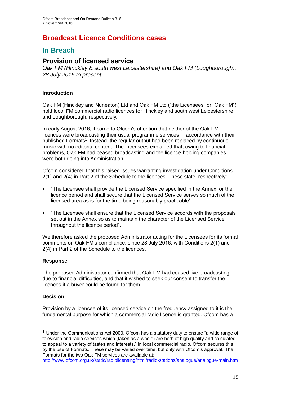# **Broadcast Licence Conditions cases**

### **In Breach**

### **Provision of licensed service**

*Oak FM (Hinckley & south west Leicestershire) and Oak FM (Loughborough), 28 July 2016 to present* 

#### **Introduction**

Oak FM (Hinckley and Nuneaton) Ltd and Oak FM Ltd ("the Licensees" or "Oak FM") hold local FM commercial radio licences for Hinckley and south west Leicestershire and Loughborough, respectively.

In early August 2016, it came to Ofcom's attention that neither of the Oak FM licences were broadcasting their usual programme services in accordance with their published Formats<sup>1</sup>. Instead, the regular output had been replaced by continuous music with no editorial content. The Licensees explained that, owing to financial problems, Oak FM had ceased broadcasting and the licence-holding companies were both going into Administration.

Ofcom considered that this raised issues warranting investigation under Conditions 2(1) and 2(4) in Part 2 of the Schedule to the licences. These state, respectively:

- "The Licensee shall provide the Licensed Service specified in the Annex for the licence period and shall secure that the Licensed Service serves so much of the licensed area as is for the time being reasonably practicable".
- "The Licensee shall ensure that the Licensed Service accords with the proposals set out in the Annex so as to maintain the character of the Licensed Service throughout the licence period".

We therefore asked the proposed Administrator acting for the Licensees for its formal comments on Oak FM's compliance, since 28 July 2016, with Conditions 2(1) and 2(4) in Part 2 of the Schedule to the licences.

#### **Response**

The proposed Administrator confirmed that Oak FM had ceased live broadcasting due to financial difficulties, and that it wished to seek our consent to transfer the licences if a buyer could be found for them.

#### **Decision**

1

Provision by a licensee of its licensed service on the frequency assigned to it is the fundamental purpose for which a commercial radio licence is granted. Ofcom has a

 $1$  Under the Communications Act 2003, Ofcom has a statutory duty to ensure "a wide range of television and radio services which (taken as a whole) are both of high quality and calculated to appeal to a variety of tastes and interests." In local commercial radio, Ofcom secures this by the use of Formats. These may be varied over time, but only with Ofcom's approval. The Formats for the two Oak FM services are available at:

<http://www.ofcom.org.uk/static/radiolicensing/html/radio-stations/analogue/analogue-main.htm>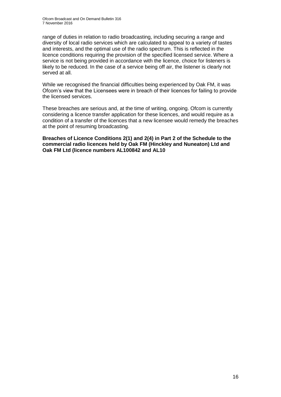range of duties in relation to radio broadcasting, including securing a range and diversity of local radio services which are calculated to appeal to a variety of tastes and interests, and the optimal use of the radio spectrum. This is reflected in the licence conditions requiring the provision of the specified licensed service. Where a service is not being provided in accordance with the licence, choice for listeners is likely to be reduced. In the case of a service being off air, the listener is clearly not served at all.

While we recognised the financial difficulties being experienced by Oak FM, it was Ofcom's view that the Licensees were in breach of their licences for failing to provide the licensed services.

These breaches are serious and, at the time of writing, ongoing. Ofcom is currently considering a licence transfer application for these licences, and would require as a condition of a transfer of the licences that a new licensee would remedy the breaches at the point of resuming broadcasting.

**Breaches of Licence Conditions 2(1) and 2(4) in Part 2 of the Schedule to the commercial radio licences held by Oak FM (Hinckley and Nuneaton) Ltd and Oak FM Ltd (licence numbers AL100842 and AL10**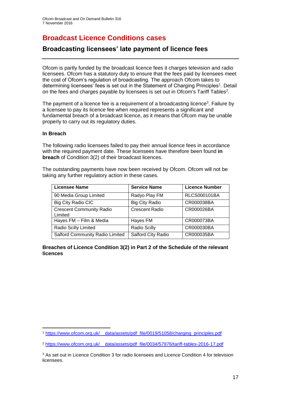# **Broadcast Licence Conditions cases**

### **Broadcasting licensees' late payment of licence fees**

Ofcom is partly funded by the broadcast licence fees it charges television and radio licensees. Ofcom has a statutory duty to ensure that the fees paid by licensees meet the cost of Ofcom's regulation of broadcasting. The approach Ofcom takes to determining licensees' fees is set out in the Statement of Charging Principles<sup>1</sup>. Detail on the fees and charges payable by licensees is set out in Ofcom's Tariff Tables<sup>2</sup>.

The payment of a licence fee is a requirement of a broadcasting licence<sup>3</sup>. Failure by a licensee to pay its licence fee when required represents a significant and fundamental breach of a broadcast licence, as it means that Ofcom may be unable properly to carry out its regulatory duties.

#### **In Breach**

The following radio licensees failed to pay their annual licence fees in accordance with the required payment date. These licensees have therefore been found **in breach** of Condition 3(2) of their broadcast licences.

The outstanding payments have now been received by Ofcom. Ofcom will not be taking any further regulatory action in these cases.

| <b>Licensee Name</b>                       | <b>Service Name</b>   | <b>Licence Number</b> |
|--------------------------------------------|-----------------------|-----------------------|
| 90 Media Group Limited                     | Radyo Play FM         | RLCS000101BA          |
| Big City Radio CIC                         | <b>Big City Radio</b> | CR000038BA            |
| <b>Crescent Community Radio</b><br>Limited | <b>Crescent Radio</b> | CR000026BA            |
| Hayes FM - Film & Media                    | Hayes FM              | CR000073BA            |
| <b>Radio Scilly Limited</b>                | Radio Scilly          | CR000030BA            |
| Salford Community Radio Limited            | Salford City Radio    | CR000035BA            |

**Breaches of Licence Condition 3(2) in Part 2 of the Schedule of the relevant licences**

<sup>1</sup> <sup>1</sup> [https://www.ofcom.org.uk/\\_\\_data/assets/pdf\\_file/0019/51058/charging\\_principles.pdf](https://www.ofcom.org.uk/__data/assets/pdf_file/0019/51058/charging_principles.pdf)

<sup>2</sup> https://www.ofcom.org.uk/\_\_data/assets/pdf\_file/0034/57976/tariff-tables-2016-17.pdf

<sup>&</sup>lt;sup>3</sup> As set out in Licence Condition 3 for radio licensees and Licence Condition 4 for television licensees.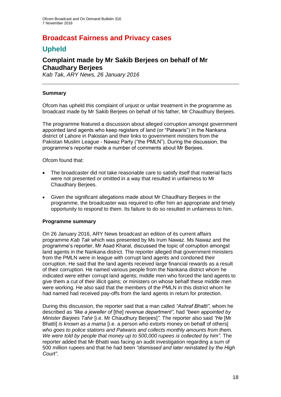### **Broadcast Fairness and Privacy cases**

### **Upheld**

### **Complaint made by Mr Sakib Berjees on behalf of Mr Chaudhary Berjees**

*Kab Tak, ARY News, 26 January 2016*

#### **Summary**

Ofcom has upheld this complaint of unjust or unfair treatment in the programme as broadcast made by Mr Sakib Berjees on behalf of his father, Mr Chaudhury Berjees.

The programme featured a discussion about alleged corruption amongst government appointed land agents who keep registers of land (or "Patwaris") in the Nankana district of Lahore in Pakistan and their links to government ministers from the Pakistan Muslim League - Nawaz Party ("the PMLN"). During the discussion, the programme's reporter made a number of comments about Mr Berjees.

Ofcom found that:

- The broadcaster did not take reasonable care to satisfy itself that material facts were not presented or omitted in a way that resulted in unfairness to Mr Chaudhary Berjees.
- Given the significant allegations made about Mr Chaudhary Berjees in the programme, the broadcaster was required to offer him an appropriate and timely opportunity to respond to them. Its failure to do so resulted in unfairness to him.

#### **Programme summary**

On 26 January 2016, ARY News broadcast an edition of its current affairs programme *Kab Tak* which was presented by Ms Irum Nawaz. Ms Nawaz and the programme's reporter, Mr Asad Kharal, discussed the topic of corruption amongst land agents in the Nankana district. The reporter alleged that government ministers from the PMLN were in league with corrupt land agents and condoned their corruption. He said that the land agents received large financial rewards as a result of their corruption. He named various people from the Nankana district whom he indicated were either corrupt land agents; middle men who forced the land agents to give them a cut of their illicit gains; or ministers on whose behalf these middle men were working. He also said that the members of the PMLN in this district whom he had named had received pay-offs from the land agents in return for protection.

During this discussion, the reporter said that a man called *"Ashraf Bhatti"*, whom he described as *"like a jeweller of* [the] *revenue department"*, had *"been appointed by Minister Barjees Tahir* [i.e. Mr Chaudhury Berjees]*".* The reporter also said *"He* [Mr Bhatti] *is known as a mama* [i.e. a person who extorts money on behalf of others] *who goes to police stations and Patwaris and collects monthly amounts from them. We were told by people that money up to 500,000 rupees is collected by him"*. The reporter added that Mr Bhatti was facing an audit investigation regarding a sum of 500 million rupees and that he had been *"dismissed and later reinstated by the High Court"*.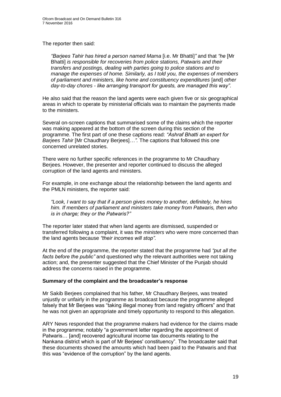The reporter then said:

*"Barjees Tahir has hired a person named Mama* [i.e. Mr Bhatti]*"* and that *"he* [Mr Bhatti] *is responsible for recoveries from police stations, Patwaris and their transfers and postings, dealing with parties going to police stations and to manage the expenses of home. Similarly, as I told you, the expenses of members of parliament and ministers, like home and constituency expenditures* [and] *other day-to-day chores - like arranging transport for guests, are managed this way"*.

He also said that the reason the land agents were each given five or six geographical areas in which to operate by ministerial officials was to maintain the payments made to the ministers.

Several on-screen captions that summarised some of the claims which the reporter was making appeared at the bottom of the screen during this section of the programme. The first part of one these captions read: *"Ashraf Bhatti an expert for Barjees Tahir* [Mr Chaudhary Berjees]*…".* The captions that followed this one concerned unrelated stories.

There were no further specific references in the programme to Mr Chaudhary Berjees. However, the presenter and reporter continued to discuss the alleged corruption of the land agents and ministers.

For example, in one exchange about the relationship between the land agents and the PMLN ministers, the reporter said:

*"Look, I want to say that if a person gives money to another, definitely, he hires him. If members of parliament and ministers take money from Patwaris, then who is in charge; they or the Patwaris?"*

The reporter later stated that when land agents are dismissed, suspended or transferred following a complaint, it was the *ministers* who were more concerned than the land agents because *"their incomes will stop".* 

At the end of the programme, the reporter stated that the programme had *"put all the facts before the public"* and questioned why the relevant authorities were not taking action; and, the presenter suggested that the Chief Minister of the Punjab should address the concerns raised in the programme.

#### **Summary of the complaint and the broadcaster's response**

Mr Sakib Berjees complained that his father, Mr Chaudhary Berjees, was treated unjustly or unfairly in the programme as broadcast because the programme alleged falsely that Mr Berjees was "taking illegal money from land registry officers" and that he was not given an appropriate and timely opportunity to respond to this allegation.

ARY News responded that the programme makers had evidence for the claims made in the programme; notably "a government letter regarding the appointment of Patwaris… [and] recovered agricultural income tax documents relating to the Nankana district which is part of Mr Berjees' constituency". The broadcaster said that these documents showed the amounts which had been paid to the Patwaris and that this was "evidence of the corruption" by the land agents.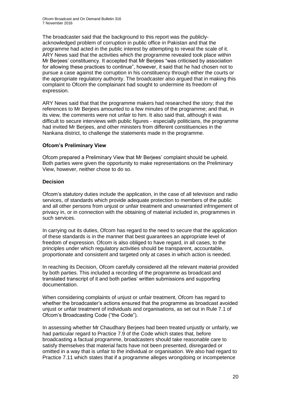The broadcaster said that the background to this report was the publiclyacknowledged problem of corruption in public office in Pakistan and that the programme had acted in the public interest by attempting to reveal the scale of it. ARY News said that the activities which the programme revealed took place within Mr Berjees' constituency. It accepted that Mr Berjees "was criticised by association for allowing these practices to continue", however, it said that he had chosen not to pursue a case against the corruption in his constituency through either the courts or the appropriate regulatory authority. The broadcaster also argued that in making this complaint to Ofcom the complainant had sought to undermine its freedom of expression.

ARY News said that that the programme makers had researched the story; that the references to Mr Berjees amounted to a few minutes of the programme; and that, in its view, the comments were not unfair to him. It also said that, although it was difficult to secure interviews with public figures - especially politicians, the programme had invited Mr Berjees, and other ministers from different constituencies in the Nankana district, to challenge the statements made in the programme.

#### **Ofcom's Preliminary View**

Ofcom prepared a Preliminary View that Mr Berjees' complaint should be upheld. Both parties were given the opportunity to make representations on the Preliminary View, however, neither chose to do so.

#### **Decision**

Ofcom's statutory duties include the application, in the case of all television and radio services, of standards which provide adequate protection to members of the public and all other persons from unjust or unfair treatment and unwarranted infringement of privacy in, or in connection with the obtaining of material included in, programmes in such services.

In carrying out its duties, Ofcom has regard to the need to secure that the application of these standards is in the manner that best guarantees an appropriate level of freedom of expression. Ofcom is also obliged to have regard, in all cases, to the principles under which regulatory activities should be transparent, accountable, proportionate and consistent and targeted only at cases in which action is needed.

In reaching its Decision, Ofcom carefully considered all the relevant material provided by both parties. This included a recording of the programme as broadcast and translated transcript of it and both parties' written submissions and supporting documentation.

When considering complaints of unjust or unfair treatment, Ofcom has regard to whether the broadcaster's actions ensured that the programme as broadcast avoided unjust or unfair treatment of individuals and organisations, as set out in Rule 7.1 of Ofcom's Broadcasting Code ("the Code").

In assessing whether Mr Chaudhary Berjees had been treated unjustly or unfairly, we had particular regard to Practice 7.9 of the Code which states that, before broadcasting a factual programme, broadcasters should take reasonable care to satisfy themselves that material facts have not been presented, disregarded or omitted in a way that is unfair to the individual or organisation. We also had regard to Practice 7.11 which states that if a programme alleges wrongdoing or incompetence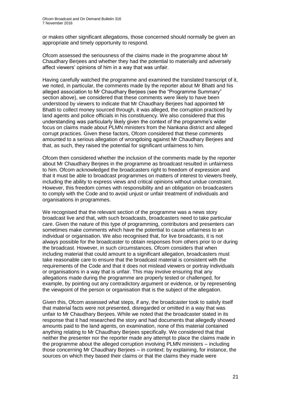or makes other significant allegations, those concerned should normally be given an appropriate and timely opportunity to respond.

Ofcom assessed the seriousness of the claims made in the programme about Mr Chaudhary Berjees and whether they had the potential to materially and adversely affect viewers' opinions of him in a way that was unfair.

Having carefully watched the programme and examined the translated transcript of it, we noted, in particular, the comments made by the reporter about Mr Bhatti and his alleged association to Mr Chaudhary Berjees (see the "Programme Summary" section above), we considered that these comments were likely to have been understood by viewers to indicate that Mr Chaudhary Berjees had appointed Mr Bhatti to collect money sourced through, it was alleged, the corruption practiced by land agents and police officials in his constituency. We also considered that this understanding was particularly likely given the context of the programme's wider focus on claims made about PLMN ministers from the Nankana district and alleged corrupt practices. Given these factors, Ofcom considered that these comments amounted to a serious allegation of wrongdoing against Mr Chaudhary Berjees and that, as such, they raised the potential for significant unfairness to him.

Ofcom then considered whether the inclusion of the comments made by the reporter about Mr Chaudhary Berjees in the programme as broadcast resulted in unfairness to him. Ofcom acknowledged the broadcasters right to freedom of expression and that it must be able to broadcast programmes on matters of interest to viewers freely, including the ability to express views and critical opinions without undue constraint. However, this freedom comes with responsibility and an obligation on broadcasters to comply with the Code and to avoid unjust or unfair treatment of individuals and organisations in programmes.

We recognised that the relevant section of the programme was a news story broadcast live and that, with such broadcasts, broadcasters need to take particular care. Given the nature of this type of programming, contributors and presenters can sometimes make comments which have the potential to cause unfairness to an individual or organisation. We also recognised that, for live broadcasts, it is not always possible for the broadcaster to obtain responses from others prior to or during the broadcast. However, in such circumstances, Ofcom considers that when including material that could amount to a significant allegation, broadcasters must take reasonable care to ensure that the broadcast material is consistent with the requirements of the Code and that it does not mislead viewers or portray individuals or organisations in a way that is unfair. This may involve ensuring that any allegations made during the programme are properly tested or challenged, for example, by pointing out any contradictory argument or evidence, or by representing the viewpoint of the person or organisation that is the subject of the allegation.

Given this, Ofcom assessed what steps, if any, the broadcaster took to satisfy itself that material facts were not presented, disregarded or omitted in a way that was unfair to Mr Chaudhary Berjees. While we noted that the broadcaster stated in its response that it had researched the story and had documents that allegedly showed amounts paid to the land agents, on examination, none of this material contained anything relating to Mr Chaudhary Berjees specifically. We considered that that neither the presenter nor the reporter made any attempt to place the claims made in the programme about the alleged corruption involving PLMN ministers – including those concerning Mr Chaudhary Berjees – in context: by explaining, for instance, the sources on which they based their claims or that the claims they made were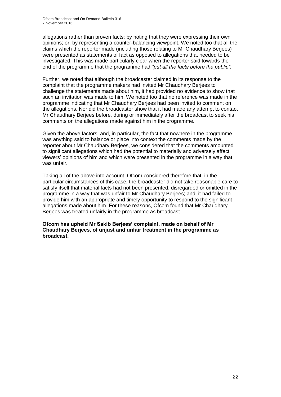allegations rather than proven facts; by noting that they were expressing their own opinions; or, by representing a counter-balancing viewpoint. We noted too that all the claims which the reporter made (including those relating to Mr Chaudhary Berjees) were presented as statements of fact as opposed to allegations that needed to be investigated. This was made particularly clear when the reporter said towards the end of the programme that the programme had *"put all the facts before the public"*.

Further, we noted that although the broadcaster claimed in its response to the complaint that the programme makers had invited Mr Chaudhary Berjees to challenge the statements made about him, it had provided no evidence to show that such an invitation was made to him. We noted too that no reference was made in the programme indicating that Mr Chaudhary Berjees had been invited to comment on the allegations. Nor did the broadcaster show that it had made any attempt to contact Mr Chaudhary Berjees before, during or immediately after the broadcast to seek his comments on the allegations made against him in the programme.

Given the above factors, and, in particular, the fact that nowhere in the programme was anything said to balance or place into context the comments made by the reporter about Mr Chaudhary Berjees, we considered that the comments amounted to significant allegations which had the potential to materially and adversely affect viewers' opinions of him and which were presented in the programme in a way that was unfair.

Taking all of the above into account, Ofcom considered therefore that, in the particular circumstances of this case, the broadcaster did not take reasonable care to satisfy itself that material facts had not been presented, disregarded or omitted in the programme in a way that was unfair to Mr Chaudhary Berjees; and, it had failed to provide him with an appropriate and timely opportunity to respond to the significant allegations made about him. For these reasons, Ofcom found that Mr Chaudhary Berjees was treated unfairly in the programme as broadcast.

**Ofcom has upheld Mr Sakib Berjees' complaint, made on behalf of Mr Chaudhary Berjees, of unjust and unfair treatment in the programme as broadcast.**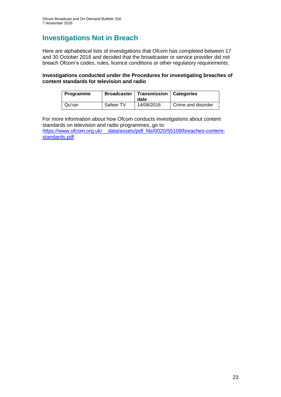# **Investigations Not in Breach**

Here are alphabetical lists of investigations that Ofcom has completed between 17 and 30 October 2016 and decided that the broadcaster or service provider did not breach Ofcom's codes, rules, licence conditions or other regulatory requirements.

#### **Investigations conducted under the Procedures for investigating breaches of content standards for television and radio**

| <b>Programme</b> |           | <b>Broadcaster   Transmission   Categories</b><br>date |                    |
|------------------|-----------|--------------------------------------------------------|--------------------|
| Qu'ran           | Safeer TV | 14/08/2016                                             | Crime and disorder |

For more information about how Ofcom conducts investigations about content standards on television and radio programmes, go to: [https://www.ofcom.org.uk/\\_\\_data/assets/pdf\\_file/0020/55109/breaches-content](https://www.ofcom.org.uk/__data/assets/pdf_file/0020/55109/breaches-content-standards.pdf)[standards.pdf](https://www.ofcom.org.uk/__data/assets/pdf_file/0020/55109/breaches-content-standards.pdf)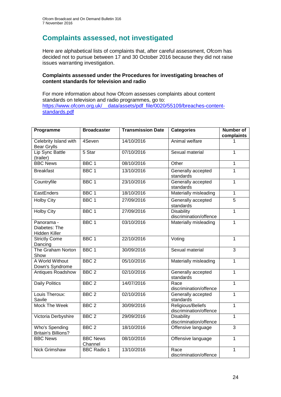# **Complaints assessed, not investigated**

Here are alphabetical lists of complaints that, after careful assessment, Ofcom has decided not to pursue between 17 and 30 October 2016 because they did not raise issues warranting investigation.

#### **Complaints assessed under the Procedures for investigating breaches of content standards for television and radio**

For more information about how Ofcom assesses complaints about content standards on television and radio programmes, go to: [https://www.ofcom.org.uk/\\_\\_data/assets/pdf\\_file/0020/55109/breaches-content](https://www.ofcom.org.uk/__data/assets/pdf_file/0020/55109/breaches-content-standards.pdf)[standards.pdf](https://www.ofcom.org.uk/__data/assets/pdf_file/0020/55109/breaches-content-standards.pdf)

| Programme                                    | <b>Broadcaster</b>         | <b>Transmission Date</b> | <b>Categories</b>                           | <b>Number of</b><br>complaints |
|----------------------------------------------|----------------------------|--------------------------|---------------------------------------------|--------------------------------|
| Celebrity Island with<br><b>Bear Grylls</b>  | 4Seven                     | 14/10/2016               | Animal welfare                              | 1                              |
| Lip Sync Battle<br>(trailer)                 | 5 Star                     | 07/10/2016               | Sexual material                             | $\overline{1}$                 |
| <b>BBC News</b>                              | BBC <sub>1</sub>           | 08/10/2016               | Other                                       | $\overline{1}$                 |
| <b>Breakfast</b>                             | BBC <sub>1</sub>           | 13/10/2016               | Generally accepted<br>standards             | $\overline{1}$                 |
| Countryfile                                  | BBC <sub>1</sub>           | 23/10/2016               | Generally accepted<br>standards             | $\mathbf{1}$                   |
| EastEnders                                   | BBC <sub>1</sub>           | 18/10/2016               | Materially misleading                       | $\mathbf{1}$                   |
| <b>Holby City</b>                            | BBC <sub>1</sub>           | 27/09/2016               | Generally accepted<br>standards             | 5                              |
| <b>Holby City</b>                            | BBC <sub>1</sub>           | 27/09/2016               | <b>Disability</b><br>discrimination/offence | $\mathbf 1$                    |
| Panorama -<br>Diabetes: The<br>Hidden Killer | BBC <sub>1</sub>           | 03/10/2016               | Materially misleading                       | $\mathbf{1}$                   |
| <b>Strictly Come</b><br>Dancing              | BBC <sub>1</sub>           | 22/10/2016               | Voting                                      | $\mathbf{1}$                   |
| The Graham Norton<br>Show                    | BBC <sub>1</sub>           | 30/09/2016               | Sexual material                             | $\overline{3}$                 |
| A World Without<br>Down's Syndrome           | BBC <sub>2</sub>           | 05/10/2016               | Materially misleading                       | $\mathbf{1}$                   |
| <b>Antiques Roadshow</b>                     | BBC <sub>2</sub>           | 02/10/2016               | Generally accepted<br>standards             | 1                              |
| <b>Daily Politics</b>                        | BBC <sub>2</sub>           | 14/07/2016               | Race<br>discrimination/offence              | $\overline{1}$                 |
| Louis Theroux:<br>Savile                     | BBC <sub>2</sub>           | 02/10/2016               | Generally accepted<br>standards             | $\overline{1}$                 |
| <b>Mock The Week</b>                         | BBC <sub>2</sub>           | 30/09/2016               | Religious/Beliefs<br>discrimination/offence | $\overline{1}$                 |
| Victoria Derbyshire                          | BBC <sub>2</sub>           | 29/09/2016               | <b>Disability</b><br>discrimination/offence | $\overline{1}$                 |
| Who's Spending<br><b>Britain's Billions?</b> | BBC <sub>2</sub>           | 18/10/2016               | Offensive language                          | $\overline{3}$                 |
| <b>BBC News</b>                              | <b>BBC News</b><br>Channel | 08/10/2016               | Offensive language                          | $\mathbf{1}$                   |
| Nick Grimshaw                                | <b>BBC Radio 1</b>         | 13/10/2016               | Race<br>discrimination/offence              | $\mathbf{1}$                   |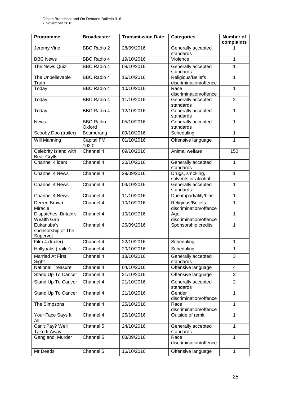| Programme                                    | <b>Broadcaster</b>         | <b>Transmission Date</b> | <b>Categories</b>                           | <b>Number of</b><br>complaints |
|----------------------------------------------|----------------------------|--------------------------|---------------------------------------------|--------------------------------|
| Jeremy Vine                                  | <b>BBC Radio 2</b>         | 28/09/2016               | Generally accepted<br>standards             |                                |
| <b>BBC News</b>                              | <b>BBC Radio 4</b>         | 19/10/2016               | Violence                                    | 1                              |
| The News Quiz                                | <b>BBC Radio 4</b>         | 08/10/2016               | Generally accepted<br>standards             | 1                              |
| The Unbelievable<br>Truth                    | <b>BBC Radio 4</b>         | 16/10/2016               | Religious/Beliefs<br>discrimination/offence | $\mathbf{1}$                   |
| Today                                        | <b>BBC Radio 4</b>         | 10/10/2016               | Race<br>discrimination/offence              | 1                              |
| Today                                        | <b>BBC Radio 4</b>         | 11/10/2016               | Generally accepted<br>standards             | $\overline{2}$                 |
| Today                                        | <b>BBC Radio 4</b>         | 12/10/2016               | Generally accepted<br>standards             | 1                              |
| <b>News</b>                                  | <b>BBC Radio</b><br>Oxford | 05/10/2016               | Generally accepted<br>standards             | 1                              |
| Scooby Doo (trailer)                         | Boomerang                  | 09/10/2016               | Scheduling                                  | 1                              |
| <b>Will Manning</b>                          | Capital FM<br>102.0        | 01/10/2016               | Offensive language                          | 1                              |
| Celebrity Island with<br><b>Bear Grylls</b>  | Channel 4                  | 09/10/2016               | Animal welfare                              | 150                            |
| Channel 4 ident                              | Channel 4                  | 20/10/2016               | Generally accepted<br>standards             | 1                              |
| Channel 4 News                               | Channel 4                  | 29/09/2016               | Drugs, smoking,<br>solvents or alcohol      | 1                              |
| Channel 4 News                               | Channel 4                  | 04/10/2016               | Generally accepted<br>standards             | $\mathbf{1}$                   |
| Channel 4 News                               | Channel 4                  | 11/10/2016               | Due impartiality/bias                       | 1                              |
| Derren Brown:<br>Miracle                     | Channel 4                  | 10/10/2016               | Religious/Beliefs<br>discrimination/offence | 1                              |
| Dispatches: Britain's<br>Wealth Gap          | Channel 4                  | 10/10/2016               | Age<br>discrimination/offence               | 1                              |
| Eukanuba's<br>sponsorship of The<br>Supervet | Channel 4                  | 26/09/2016               | Sponsorship credits                         | 1                              |
| Film 4 (trailer)                             | Channel 4                  | 22/10/2016               | Scheduling                                  | 1                              |
| Hollyoaks (trailer)                          | Channel 4                  | 20/10/2016               | Scheduling                                  | 1                              |
| <b>Married At First</b><br>Sight             | Channel 4                  | 18/10/2016               | Generally accepted<br>standards             | 3                              |
| <b>National Treasure</b>                     | Channel 4                  | 04/10/2016               | Offensive language                          | $\overline{4}$                 |
| Stand Up To Cancer                           | Channel 4                  | 21/10/2016               | Offensive language                          | 3                              |
| Stand Up To Cancer                           | Channel 4                  | 21/10/2016               | Generally accepted<br>standards             | $\overline{2}$                 |
| <b>Stand Up To Cancer</b>                    | Channel 4                  | 21/10/2016               | Gender<br>discrimination/offence            | $\mathbf{1}$                   |
| The Simpsons                                 | Channel 4                  | 25/10/2016               | Race<br>discrimination/offence              | 1                              |
| Your Face Says It<br>All                     | Channel 4                  | 25/10/2016               | Outside of remit                            | 1                              |
| Can't Pay? We'll<br>Take It Away!            | Channel 5                  | 24/10/2016               | Generally accepted<br>standards             | 1                              |
| Gangland: Murder                             | Channel 5                  | 08/09/2016               | Race<br>discrimination/offence              | $\mathbf{1}$                   |
| Mr Deeds                                     | Channel 5                  | 16/10/2016               | Offensive language                          | $\mathbf{1}$                   |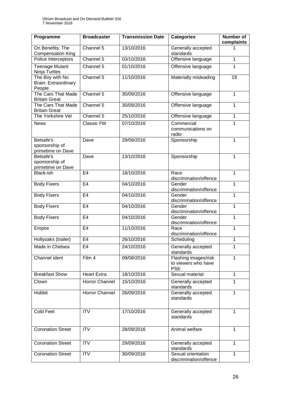| Programme                                         | <b>Broadcaster</b> | <b>Transmission Date</b> | <b>Categories</b>                                         | <b>Number of</b><br>complaints |
|---------------------------------------------------|--------------------|--------------------------|-----------------------------------------------------------|--------------------------------|
| On Benefits: The<br><b>Compensation King</b>      | Channel 5          | 13/10/2016               | Generally accepted<br>standards                           |                                |
| Police Interceptors                               | Channel 5          | 03/10/2016               | Offensive language                                        | 1                              |
| <b>Teenage Mutant</b><br>Ninja Turtles            | Channel 5          | 01/10/2016               | Offensive language                                        | 1                              |
| The Boy with No<br>Brain: Extraordinary<br>People | Channel 5          | 11/10/2016               | Materially misleading                                     | 19                             |
| The Cars That Made<br><b>Britain Great</b>        | Channel 5          | 30/09/2016               | Offensive language                                        | $\mathbf 1$                    |
| The Cars That Made<br><b>Britain Great</b>        | Channel 5          | 30/09/2016               | Offensive language                                        | 1                              |
| The Yorkshire Vet                                 | Channel 5          | 25/10/2016               | Offensive language                                        | 1                              |
| <b>News</b>                                       | Classic FM         | 07/10/2016               | Commercial<br>communications on<br>radio                  | 1                              |
| Betsafe's<br>sponsorship of<br>primetime on Dave  | Dave               | 29/09/2016               | Sponsorship                                               | 1                              |
| Betsafe's<br>sponsorship of<br>primetime on Dave  | Dave               | 13/10/2016               | Sponsorship                                               | 1                              |
| Black-ish                                         | E <sub>4</sub>     | 18/10/2016               | Race<br>discrimination/offence                            | 1                              |
| <b>Body Fixers</b>                                | E <sub>4</sub>     | 04/10/2016               | Gender<br>discrimination/offence                          | 1                              |
| <b>Body Fixers</b>                                | E <sub>4</sub>     | 04/10/2016               | Gender<br>discrimination/offence                          | 1                              |
| <b>Body Fixers</b>                                | E <sub>4</sub>     | 04/10/2016               | Gender<br>discrimination/offence                          | 1                              |
| <b>Body Fixers</b>                                | E <sub>4</sub>     | 04/10/2016               | Gender<br>discrimination/offence                          | 1                              |
| Empire                                            | E4                 | 11/10/2016               | Race<br>discrimination/offence                            | 1                              |
| Hollyoaks (trailer)                               | E <sub>4</sub>     | 26/10/2016               | Scheduling                                                | 1                              |
| Made in Chelsea                                   | E4                 | 24/10/2016               | Generally accepted<br>standards                           | 1                              |
| Channel ident                                     | Film 4             | 09/08/2016               | Flashing images/risk<br>to viewers who have<br><b>PSE</b> | 1                              |
| <b>Breakfast Show</b>                             | <b>Heart Extra</b> | 18/10/2016               | Sexual material                                           | 1                              |
| Clown                                             | Horror Channel     | 15/10/2016               | Generally accepted<br>standards                           | 1                              |
| Hobbit                                            | Horror Channel     | 26/09/2016               | Generally accepted<br>standards                           | 1                              |
| <b>Cold Feet</b>                                  | <b>ITV</b>         | 17/10/2016               | Generally accepted<br>standards                           | 1                              |
| <b>Coronation Street</b>                          | <b>ITV</b>         | 28/09/2016               | Animal welfare                                            | 1                              |
| <b>Coronation Street</b>                          | <b>ITV</b>         | 29/09/2016               | Generally accepted<br>standards                           | 1                              |
| <b>Coronation Street</b>                          | $\overline{IV}$    | 30/09/2016               | Sexual orientation<br>discrimination/offence              | 1                              |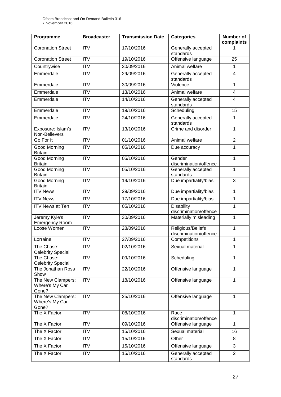| Programme                                    | <b>Broadcaster</b> | <b>Transmission Date</b> | <b>Categories</b>                           | <b>Number of</b><br>complaints |
|----------------------------------------------|--------------------|--------------------------|---------------------------------------------|--------------------------------|
| <b>Coronation Street</b>                     | <b>ITV</b>         | 17/10/2016               | Generally accepted<br>standards             |                                |
| <b>Coronation Street</b>                     | <b>ITV</b>         | 19/10/2016               | Offensive language                          | 25                             |
| Countrywise                                  | $\overline{ITV}$   | 30/09/2016               | Animal welfare                              | 1                              |
| Emmerdale                                    | <b>ITV</b>         | 29/09/2016               | Generally accepted<br>standards             | $\overline{4}$                 |
| Emmerdale                                    | <b>ITV</b>         | 30/09/2016               | Violence                                    | 1                              |
| Emmerdale                                    | $\overline{ITV}$   | 13/10/2016               | Animal welfare                              | $\overline{4}$                 |
| Emmerdale                                    | <b>ITV</b>         | 14/10/2016               | Generally accepted<br>standards             | $\overline{4}$                 |
| Emmerdale                                    | $\overline{ITV}$   | 19/10/2016               | Scheduling                                  | $\overline{15}$                |
| Emmerdale                                    | <b>ITV</b>         | 24/10/2016               | Generally accepted<br>standards             | 1                              |
| Exposure: Islam's<br>Non-Believers           | $\overline{ITV}$   | 13/10/2016               | Crime and disorder                          | 1                              |
| Go For It                                    | $\overline{ITV}$   | 01/10/2016               | Animal welfare                              | $\overline{2}$                 |
| <b>Good Morning</b><br><b>Britain</b>        | <b>ITV</b>         | 05/10/2016               | Due accuracy                                | 1                              |
| <b>Good Morning</b><br><b>Britain</b>        | <b>ITV</b>         | 05/10/2016               | Gender<br>discrimination/offence            | 1                              |
| <b>Good Morning</b><br><b>Britain</b>        | <b>ITV</b>         | 05/10/2016               | Generally accepted<br>standards             | 1                              |
| Good Morning<br><b>Britain</b>               | <b>ITV</b>         | 19/10/2016               | Due impartiality/bias                       | 3                              |
| <b>ITV News</b>                              | ITV                | 29/09/2016               | Due impartiality/bias                       | 1                              |
| <b>ITV News</b>                              | <b>ITV</b>         | 17/10/2016               | Due impartiality/bias                       | 1                              |
| <b>ITV News at Ten</b>                       | <b>ITV</b>         | 05/10/2016               | <b>Disability</b><br>discrimination/offence | 1                              |
| Jeremy Kyle's<br><b>Emergency Room</b>       | $\overline{ITV}$   | 30/09/2016               | Materially misleading                       | 1                              |
| Loose Women                                  | <b>ITV</b>         | 28/09/2016               | Religious/Beliefs<br>discrimination/offence | 1                              |
| Lorraine                                     | <b>ITV</b>         | 27/09/2016               | Competitions                                | 1                              |
| The Chase:<br><b>Celebrity Special</b>       | $\overline{ITV}$   | 02/10/2016               | Sexual material                             | 1                              |
| The Chase:<br><b>Celebrity Special</b>       | ITV                | 09/10/2016               | Scheduling                                  | 1                              |
| The Jonathan Ross<br>Show                    | <b>ITV</b>         | 22/10/2016               | Offensive language                          | 1                              |
| The New Clampers:<br>Where's My Car<br>Gone? | <b>ITV</b>         | 18/10/2016               | Offensive language                          | 1                              |
| The New Clampers:<br>Where's My Car<br>Gone? | <b>ITV</b>         | 25/10/2016               | Offensive language                          | 1                              |
| The X Factor                                 | <b>ITV</b>         | 08/10/2016               | Race<br>discrimination/offence              | 1                              |
| The X Factor                                 | <b>ITV</b>         | 09/10/2016               | Offensive language                          | 1                              |
| The X Factor                                 | <b>ITV</b>         | 15/10/2016               | Sexual material                             | 16                             |
| The X Factor                                 | <b>ITV</b>         | 15/10/2016               | Other                                       | 8                              |
| The X Factor                                 | <b>ITV</b>         | 15/10/2016               | Offensive language                          | 3                              |
| The X Factor                                 | <b>ITV</b>         | 15/10/2016               | Generally accepted<br>standards             | $\overline{2}$                 |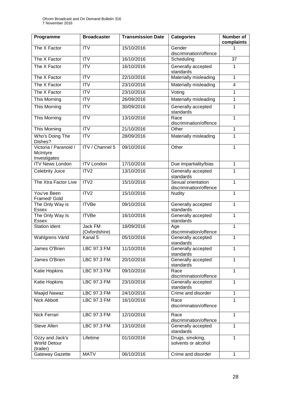| Programme                                           | <b>Broadcaster</b>       | <b>Transmission Date</b> | <b>Categories</b>                            | <b>Number of</b><br>complaints |
|-----------------------------------------------------|--------------------------|--------------------------|----------------------------------------------|--------------------------------|
| The X Factor                                        | <b>ITV</b>               | 15/10/2016               | Gender<br>discrimination/offence             |                                |
| The X Factor                                        | <b>ITV</b>               | 16/10/2016               | Scheduling                                   | 37                             |
| The X Factor                                        | $\overline{ITV}$         | 16/10/2016               | Generally accepted<br>standards              | 1                              |
| The X Factor                                        | <b>ITV</b>               | 22/10/2016               | Materially misleading                        | $\mathbf{1}$                   |
| The X Factor                                        | <b>ITV</b>               | 23/10/2016               | Materially misleading                        | 4                              |
| The X Factor                                        | <b>ITV</b>               | 23/10/2016               | Voting                                       | 1                              |
| This Morning                                        | $\overline{IV}$          | 26/09/2016               | Materially misleading                        | $\mathbf{1}$                   |
| This Morning                                        | <b>ITV</b>               | 30/09/2016               | Generally accepted<br>standards              | 1                              |
| This Morning                                        | <b>ITV</b>               | 13/10/2016               | Race<br>discrimination/offence               | 1                              |
| This Morning                                        | <b>ITV</b>               | 21/10/2016               | Other                                        | 1                              |
| Who's Doing The<br>Dishes?                          | <b>ITV</b>               | 28/09/2016               | Materially misleading                        | 1                              |
| Victoria / Paranoid /<br>McIntyre<br>Investigates   | <b>ITV / Channel 5</b>   | 09/10/2016               | Other                                        | $\mathbf{1}$                   |
| <b>ITV News London</b>                              | <b>ITV London</b>        | 17/10/2016               | Due impartiality/bias                        | $\mathbf{1}$                   |
| Celebrity Juice                                     | ITV2                     | 13/10/2016               | Generally accepted<br>standards              | 1                              |
| The Xtra Factor Live                                | ITV <sub>2</sub>         | 15/10/2016               | Sexual orientation<br>discrimination/offence | 1                              |
| You've Been<br>Framed! Gold                         | ITV2                     | 15/10/2016               | <b>Nudity</b>                                | 1                              |
| The Only Way is<br><b>Essex</b>                     | <b>ITVBe</b>             | 09/10/2016               | Generally accepted<br>standards              | $\mathbf{1}$                   |
| The Only Way Is<br><b>Essex</b>                     | <b>ITVBe</b>             | 16/10/2016               | Generally accepted<br>standards              | 1                              |
| <b>Station ident</b>                                | Jack FM<br>(Oxfordshire) | 18/09/2016               | Age<br>discrimination/offence                | 1                              |
| Wahlgrens Värld                                     | Kanal 5                  | 05/10/2016               | Generally accepted<br>standards              | $\mathbf{1}$                   |
| James O'Brien                                       | LBC 97.3 FM              | 11/10/2016               | Generally accepted<br>standards              | 1                              |
| James O'Brien                                       | LBC 97.3 FM              | 20/10/2016               | Generally accepted<br>standards              | 1                              |
| Katie Hopkins                                       | LBC 97.3 FM              | 09/10/2016               | Race<br>discrimination/offence               | 1                              |
| Katie Hopkins                                       | LBC 97.3 FM              | 23/10/2016               | Generally accepted<br>standards              | 1                              |
| Maajid Nawaz                                        | LBC 97.3 FM              | 24/10/2016               | Crime and disorder                           | $\mathbf{1}$                   |
| Nick Abbott                                         | LBC 97.3 FM              | 16/10/2016               | Race<br>discrimination/offence               | 1                              |
| Nick Ferrari                                        | LBC 97.3 FM              | 12/10/2016               | Race<br>discrimination/offence               | 1                              |
| Steve Allen                                         | LBC 97.3 FM              | 13/10/2016               | Generally accepted<br>standards              | $\mathbf{1}$                   |
| Ozzy and Jack's<br><b>World Detour</b><br>(trailer) | Lifetime                 | 01/10/2016               | Drugs, smoking,<br>solvents or alcohol       | 1                              |
| Gateway Gazette                                     | <b>MATV</b>              | 06/10/2016               | Crime and disorder                           | $\mathbf{1}$                   |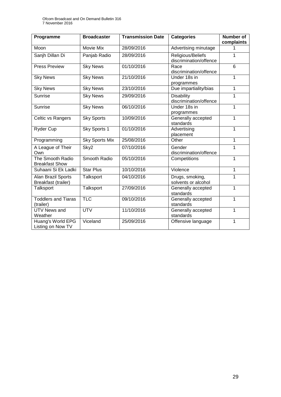| Programme                                 | <b>Broadcaster</b>    | <b>Transmission Date</b> | <b>Categories</b>                           | <b>Number of</b><br>complaints |
|-------------------------------------------|-----------------------|--------------------------|---------------------------------------------|--------------------------------|
| Moon                                      | <b>Movie Mix</b>      | 28/09/2016               | Advertising minutage                        | 1                              |
| Sanjh Dillan Di                           | Panjab Radio          | 28/09/2016               | Religious/Beliefs<br>discrimination/offence | 1                              |
| <b>Press Preview</b>                      | <b>Sky News</b>       | 01/10/2016               | Race<br>discrimination/offence              | 6                              |
| <b>Sky News</b>                           | <b>Sky News</b>       | 21/10/2016               | Under 18s in<br>programmes                  | 1                              |
| <b>Sky News</b>                           | <b>Sky News</b>       | 23/10/2016               | Due impartiality/bias                       | $\mathbf 1$                    |
| <b>Sunrise</b>                            | <b>Sky News</b>       | 29/09/2016               | <b>Disability</b><br>discrimination/offence | 1                              |
| <b>Sunrise</b>                            | <b>Sky News</b>       | 06/10/2016               | Under 18s in<br>programmes                  | 1                              |
| Celtic vs Rangers                         | <b>Sky Sports</b>     | 10/09/2016               | Generally accepted<br>standards             | $\mathbf{1}$                   |
| Ryder Cup                                 | Sky Sports 1          | 01/10/2016               | Advertising<br>placement                    | 1                              |
| Programming                               | <b>Sky Sports Mix</b> | 25/08/2016               | Other                                       | 1                              |
| A League of Their<br>Own                  | Sky2                  | 07/10/2016               | Gender<br>discrimination/offence            | 1                              |
| The Smooth Radio<br><b>Breakfast Show</b> | Smooth Radio          | 05/10/2016               | Competitions                                | 1                              |
| Suhaani Si Ek Ladki                       | <b>Star Plus</b>      | 10/10/2016               | Violence                                    | 1                              |
| Alan Brazil Sports<br>Breakfast (trailer) | Talksport             | 04/10/2016               | Drugs, smoking,<br>solvents or alcohol      | 1                              |
| Talksport                                 | Talksport             | 27/09/2016               | Generally accepted<br>standards             | 1                              |
| <b>Toddlers and Tiaras</b><br>(trailer)   | <b>TLC</b>            | 09/10/2016               | Generally accepted<br>standards             | 1                              |
| <b>UTV News and</b><br>Weather            | <b>UTV</b>            | 11/10/2016               | Generally accepted<br>standards             | 1                              |
| Huang's World EPG<br>Listing on Now TV    | Viceland              | 25/09/2016               | Offensive language                          | 1                              |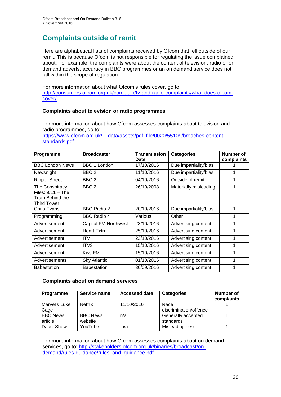# **Complaints outside of remit**

Here are alphabetical lists of complaints received by Ofcom that fell outside of our remit. This is because Ofcom is not responsible for regulating the issue complained about. For example, the complaints were about the content of television, radio or on demand adverts, accuracy in BBC programmes or an on demand service does not fall within the scope of regulation.

For more information about what Ofcom's rules cover, go to: [http://consumers.ofcom.org.uk/complain/tv-and-radio-complaints/what-does-ofcom](http://consumers.ofcom.org.uk/complain/tv-and-radio-complaints/what-does-ofcom-cover/)[cover/](http://consumers.ofcom.org.uk/complain/tv-and-radio-complaints/what-does-ofcom-cover/)

#### **Complaints about television or radio programmes**

For more information about how Ofcom assesses complaints about television and radio programmes, go to:

[https://www.ofcom.org.uk/\\_\\_data/assets/pdf\\_file/0020/55109/breaches-content](https://www.ofcom.org.uk/__data/assets/pdf_file/0020/55109/breaches-content-standards.pdf)[standards.pdf](https://www.ofcom.org.uk/__data/assets/pdf_file/0020/55109/breaches-content-standards.pdf)

| Programme                                                                       | <b>Broadcaster</b>   | <b>Transmission</b><br>Date | <b>Categories</b>     | Number of<br>complaints |
|---------------------------------------------------------------------------------|----------------------|-----------------------------|-----------------------|-------------------------|
| <b>BBC London News</b>                                                          | <b>BBC 1 London</b>  | 17/10/2016                  | Due impartiality/bias |                         |
| Newsnight                                                                       | BBC <sub>2</sub>     | 11/10/2016                  | Due impartiality/bias |                         |
| <b>Ripper Street</b>                                                            | BBC <sub>2</sub>     | 04/10/2016                  | Outside of remit      | 1                       |
| The Conspiracy<br>Files: $9/11 -$ The<br>Truth Behind the<br><b>Third Tower</b> | BBC <sub>2</sub>     | 26/10/2008                  | Materially misleading | 1                       |
| Chris Evans                                                                     | <b>BBC Radio 2</b>   | 20/10/2016                  | Due impartiality/bias | 1                       |
| Programming                                                                     | <b>BBC Radio 4</b>   | Various                     | Other                 | 1                       |
| Advertisement                                                                   | Capital FM Northwest | 23/10/2016                  | Advertising content   | 1                       |
| Advertisement                                                                   | <b>Heart Extra</b>   | 25/10/2016                  | Advertising content   | 1                       |
| Advertisement                                                                   | <b>ITV</b>           | 23/10/2016                  | Advertising content   | 1                       |
| Advertisement                                                                   | ITV3                 | 15/10/2016                  | Advertising content   | 1                       |
| Advertisement                                                                   | Kiss FM              | 15/10/2016                  | Advertising content   | 1                       |
| Advertisements                                                                  | <b>Sky Atlantic</b>  | 01/10/2016                  | Advertising content   | 1                       |
| <b>Babestation</b>                                                              | <b>Babestation</b>   | 30/09/2016                  | Advertising content   | 1                       |

#### **Complaints about on demand services**

| <b>Programme</b> | Service name    | <b>Accessed date</b> | <b>Categories</b>      | <b>Number of</b><br>complaints |
|------------------|-----------------|----------------------|------------------------|--------------------------------|
| Marvel's Luke    | <b>Netflix</b>  | 11/10/2016           | Race                   |                                |
| Cage             |                 |                      | discrimination/offence |                                |
| <b>BBC News</b>  | <b>BBC News</b> | n/a                  | Generally accepted     |                                |
| article          | website         |                      | standards              |                                |
| Daaci Show       | YouTube         | n/a                  | Misleadinginess        |                                |

For more information about how Ofcom assesses complaints about on demand services, go to: [http://stakeholders.ofcom.org.uk/binaries/broadcast/on](http://stakeholders.ofcom.org.uk/binaries/broadcast/on-demand/rules-guidance/rules_and_guidance.pdf)[demand/rules-guidance/rules\\_and\\_guidance.pdf](http://stakeholders.ofcom.org.uk/binaries/broadcast/on-demand/rules-guidance/rules_and_guidance.pdf)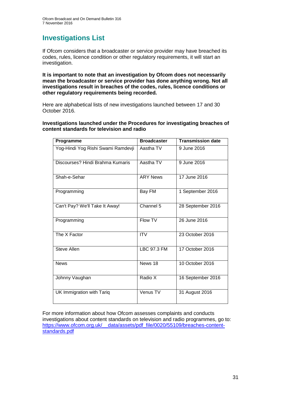# **Investigations List**

If Ofcom considers that a broadcaster or service provider may have breached its codes, rules, licence condition or other regulatory requirements, it will start an investigation.

**It is important to note that an investigation by Ofcom does not necessarily mean the broadcaster or service provider has done anything wrong. Not all investigations result in breaches of the codes, rules, licence conditions or other regulatory requirements being recorded.**

Here are alphabetical lists of new investigations launched between 17 and 30 October 2016.

**Investigations launched under the Procedures for investigating breaches of content standards for television and radio**

| Programme                          | <b>Broadcaster</b> | <b>Transmission date</b> |
|------------------------------------|--------------------|--------------------------|
| Yog-Hindi Yog Rishi Swami Ramdevji | Aastha TV          | 9 June 2016              |
| Discourses? Hindi Brahma Kumaris   | Aastha TV          | 9 June 2016              |
| Shah-e-Sehar                       | <b>ARY News</b>    | 17 June 2016             |
| Programming                        | Bay FM             | 1 September 2016         |
| Can't Pay? We'll Take It Away!     | Channel $5$        | 28 September 2016        |
| Programming                        | <b>Flow TV</b>     | 26 June 2016             |
| The X Factor                       | <b>ITV</b>         | 23 October 2016          |
| Steve Allen                        | <b>LBC 97.3 FM</b> | 17 October 2016          |
| <b>News</b>                        | News 18            | 10 October 2016          |
| Johnny Vaughan                     | Radio X            | 16 September 2016        |
| UK Immigration with Tariq          | Venus TV           | 31 August 2016           |

For more information about how Ofcom assesses complaints and conducts investigations about content standards on television and radio programmes, go to: [https://www.ofcom.org.uk/\\_\\_data/assets/pdf\\_file/0020/55109/breaches-content](https://www.ofcom.org.uk/__data/assets/pdf_file/0020/55109/breaches-content-standards.pdf)[standards.pdf](https://www.ofcom.org.uk/__data/assets/pdf_file/0020/55109/breaches-content-standards.pdf)